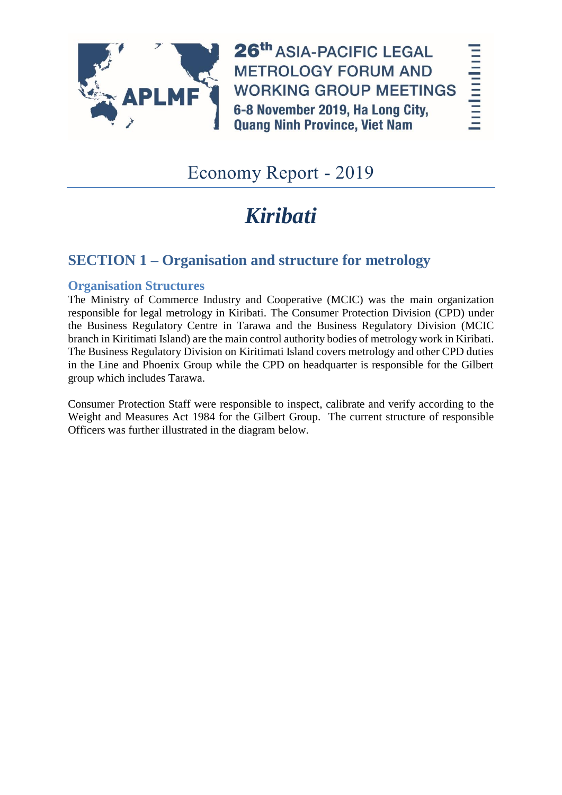

26th ASIA-PACIFIC LEGAL **METROLOGY FORUM AND WORKING GROUP MEETINGS** 6-8 November 2019, Ha Long City, **Quang Ninh Province, Viet Nam** 

hodnolool

# Economy Report - 2019

# *Kiribati*

# **SECTION 1 – Organisation and structure for metrology**

#### **Organisation Structures**

The Ministry of Commerce Industry and Cooperative (MCIC) was the main organization responsible for legal metrology in Kiribati. The Consumer Protection Division (CPD) under the Business Regulatory Centre in Tarawa and the Business Regulatory Division (MCIC branch in Kiritimati Island) are the main control authority bodies of metrology work in Kiribati. The Business Regulatory Division on Kiritimati Island covers metrology and other CPD duties in the Line and Phoenix Group while the CPD on headquarter is responsible for the Gilbert group which includes Tarawa.

Consumer Protection Staff were responsible to inspect, calibrate and verify according to the Weight and Measures Act 1984 for the Gilbert Group. The current structure of responsible Officers was further illustrated in the diagram below.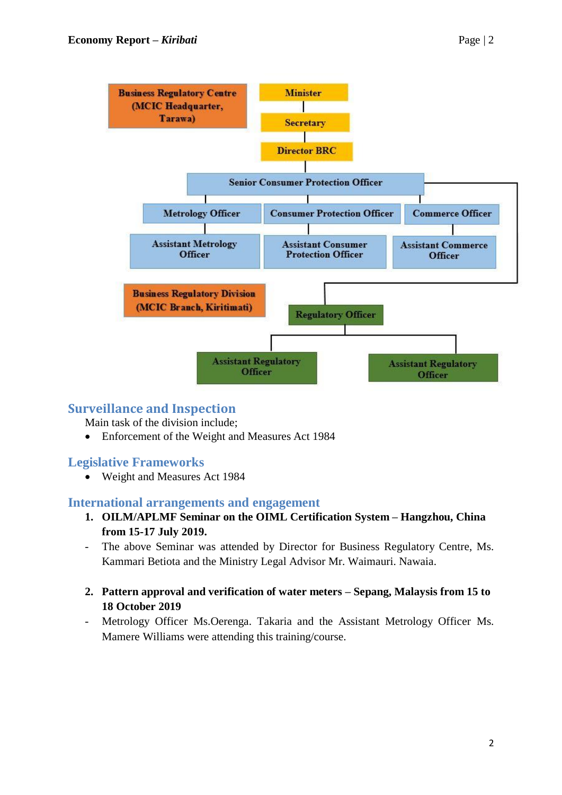

#### **Surveillance and Inspection**

Main task of the division include;

Enforcement of the Weight and Measures Act 1984

#### **Legislative Frameworks**

Weight and Measures Act 1984

#### **International arrangements and engagement**

- **1. OILM/APLMF Seminar on the OIML Certification System – Hangzhou, China from 15-17 July 2019.**
- The above Seminar was attended by Director for Business Regulatory Centre, Ms. Kammari Betiota and the Ministry Legal Advisor Mr. Waimauri. Nawaia.
- **2. Pattern approval and verification of water meters – Sepang, Malaysis from 15 to 18 October 2019**
- Metrology Officer Ms.Oerenga. Takaria and the Assistant Metrology Officer Ms. Mamere Williams were attending this training/course.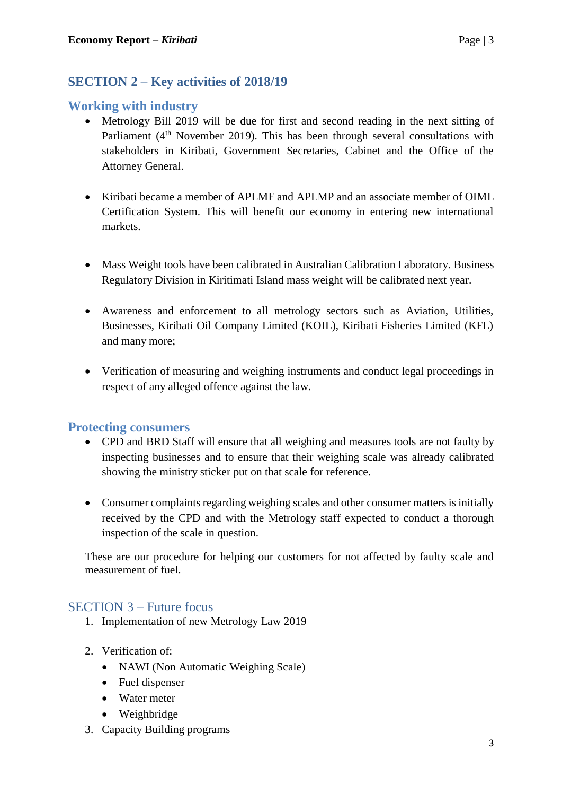### **SECTION 2 – Key activities of 2018/19**

#### **Working with industry**

- Metrology Bill 2019 will be due for first and second reading in the next sitting of Parliament  $(4<sup>th</sup>$  November 2019). This has been through several consultations with stakeholders in Kiribati, Government Secretaries, Cabinet and the Office of the Attorney General.
- Kiribati became a member of APLMF and APLMP and an associate member of OIML Certification System. This will benefit our economy in entering new international markets.
- Mass Weight tools have been calibrated in Australian Calibration Laboratory. Business Regulatory Division in Kiritimati Island mass weight will be calibrated next year.
- Awareness and enforcement to all metrology sectors such as Aviation, Utilities, Businesses, Kiribati Oil Company Limited (KOIL), Kiribati Fisheries Limited (KFL) and many more;
- Verification of measuring and weighing instruments and conduct legal proceedings in respect of any alleged offence against the law.

#### **Protecting consumers**

- CPD and BRD Staff will ensure that all weighing and measures tools are not faulty by inspecting businesses and to ensure that their weighing scale was already calibrated showing the ministry sticker put on that scale for reference.
- Consumer complaints regarding weighing scales and other consumer matters is initially received by the CPD and with the Metrology staff expected to conduct a thorough inspection of the scale in question.

These are our procedure for helping our customers for not affected by faulty scale and measurement of fuel.

#### SECTION 3 – Future focus

- 1. Implementation of new Metrology Law 2019
- 2. Verification of:
	- NAWI (Non Automatic Weighing Scale)
	- Fuel dispenser
	- Water meter
	- Weighbridge
- 3. Capacity Building programs